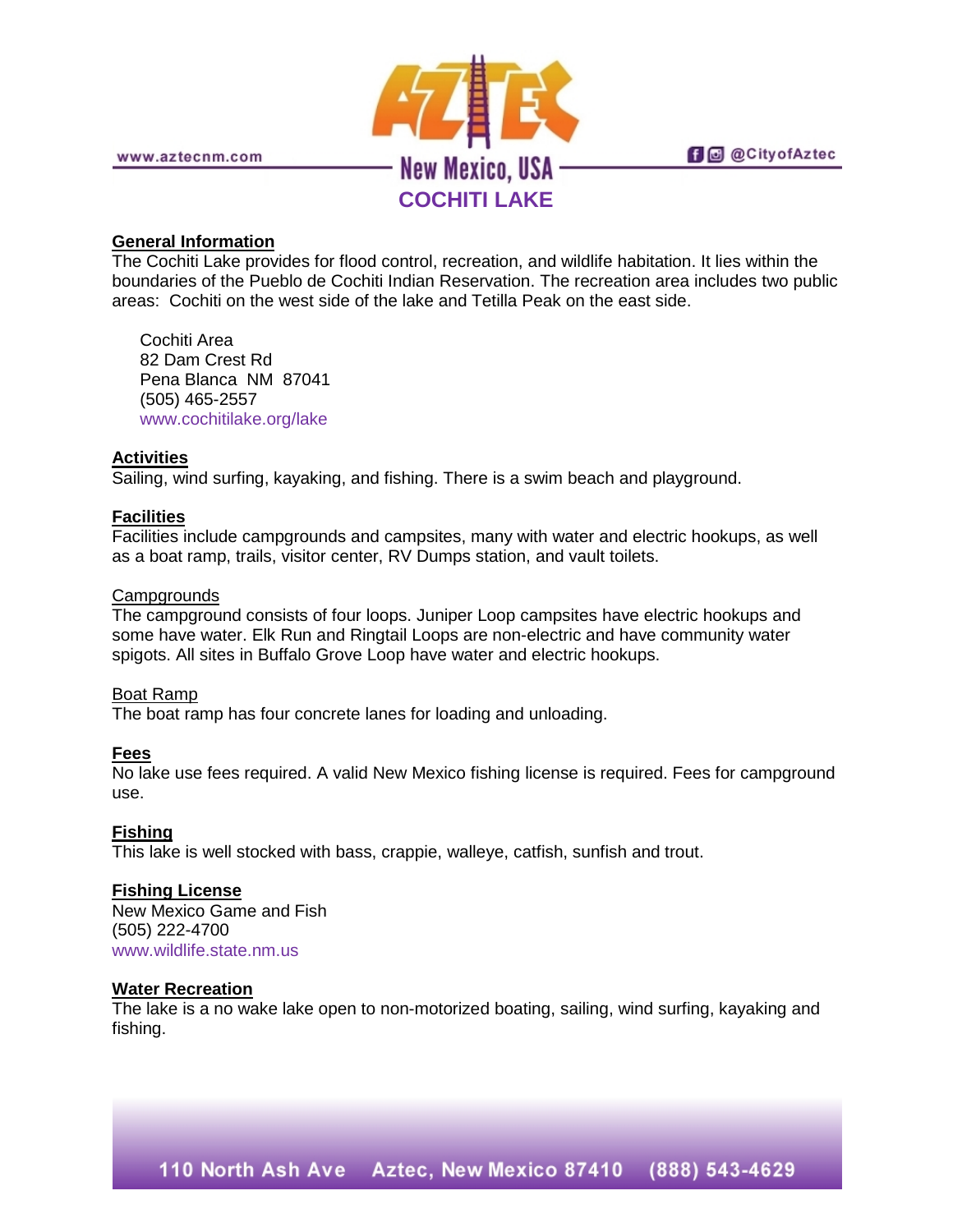

**f** @ @ City of Aztec

#### **General Information**

The Cochiti Lake provides for flood control, recreation, and wildlife habitation. It lies within the boundaries of the Pueblo de Cochiti Indian Reservation. The recreation area includes two public areas: Cochiti on the west side of the lake and Tetilla Peak on the east side.

Cochiti Area 82 Dam Crest Rd Pena Blanca NM 87041 (505) 465-2557 [www.cochitilake.org/lake](http://www.cochitilake.org/lake)

## **Activities**

Sailing, wind surfing, kayaking, and fishing. There is a swim beach and playground.

# **Facilities**

Facilities include campgrounds and campsites, many with water and electric hookups, as well as a boat ramp, trails, visitor center, RV Dumps station, and vault toilets.

## **Campgrounds**

The campground consists of four loops. Juniper Loop campsites have electric hookups and some have water. Elk Run and Ringtail Loops are non-electric and have community water spigots. All sites in Buffalo Grove Loop have water and electric hookups.

## Boat Ramp

The boat ramp has four concrete lanes for loading and unloading.

## **Fees**

No lake use fees required. A valid New Mexico fishing license is required. Fees for campground use.

## **Fishing**

This lake is well stocked with bass, crappie, walleye, catfish, sunfish and trout.

## **Fishing License**

New Mexico Game and Fish (505) 222-4700 [www.wildlife.state.nm.us](http://www.wildlife.state.nm.us/)

#### **Water Recreation**

The lake is a no wake lake open to non-motorized boating, sailing, wind surfing, kayaking and fishing.